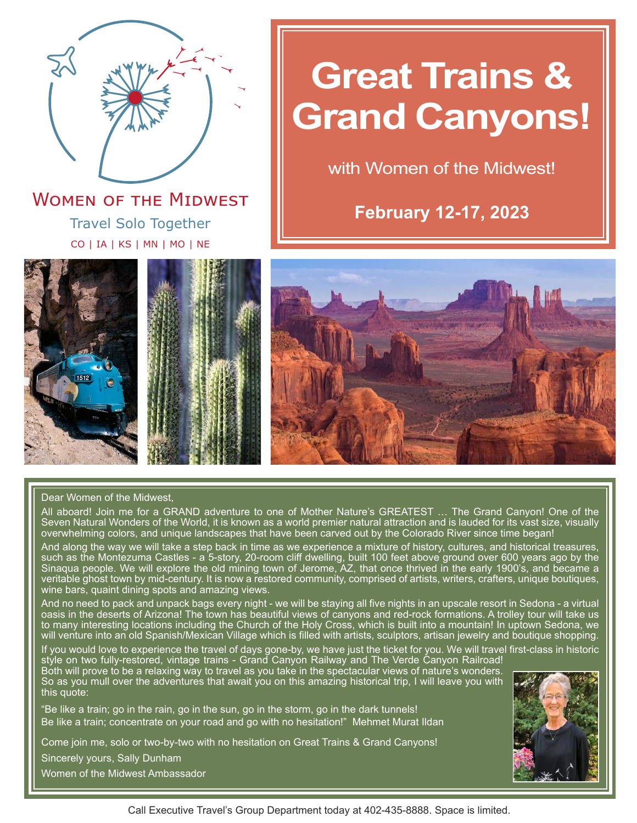

Travel Solo Together CO | IA | KS | MN | MO | NE **WOMEN OF THE MIDWEST** 

# **Great Trains & Grand Canyons!**

with Women of the Midwest!

**February 12-17, 2023**





#### Dear Women of the Midwest,

All aboard! Join me for a GRAND adventure to one of Mother Nature's GREATEST … The Grand Canyon! One of the Seven Natural Wonders of the World, it is known as a world premier natural attraction and is lauded for its vast size, visually overwhelming colors, and unique landscapes that have been carved out by the Colorado River since time began!

And along the way we will take a step back in time as we experience a mixture of history, cultures, and historical treasures, such as the Montezuma Castles - a 5-story, 20-room cliff dwelling, built 100 feet above ground over 600 years ago by the Sinaqua people. We will explore the old mining town of Jerome, AZ, that once thrived in the early 1900's, and became a veritable ghost town by mid-century. It is now a restored community, comprised of artists, writers, crafters, unique boutiques, wine bars, quaint dining spots and amazing views.

And no need to pack and unpack bags every night - we will be staying all five nights in an upscale resort in Sedona - a virtual oasis in the deserts of Arizona! The town has beautiful views of canyons and red-rock formations. A trolley tour will take us to many interesting locations including the Church of the Holy Cross, which is built into a mountain! In uptown Sedona, we will venture into an old Spanish/Mexican Village which is filled with artists, sculptors, artisan jewelry and boutique shopping.

If you would love to experience the travel of days gone-by, we have just the ticket for you. We will travel first-class in historic style on two fully-restored, vintage trains - Grand Canyon Railway and The Verde Canyon Railroad! Both will prove to be a relaxing way to travel as you take in the spectacular views of nature's wonders.

So as you mull over the adventures that await you on this amazing historical trip, I will leave you with this quote:

"Be like a train; go in the rain, go in the sun, go in the storm, go in the dark tunnels! Be like a train; concentrate on your road and go with no hesitation!" Mehmet Murat Ildan

Come join me, solo or two-by-two with no hesitation on Great Trains & Grand Canyons!

Sincerely yours, Sally Dunham

Women of the Midwest Ambassador

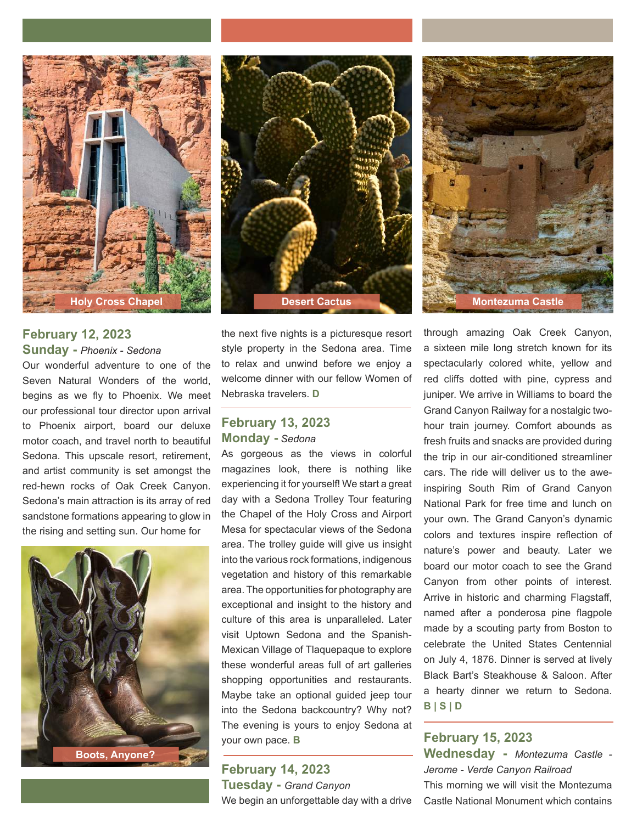

### **February 12, 2023 Sunday -** *Phoenix - Sedona*

Our wonderful adventure to one of the Seven Natural Wonders of the world, begins as we fly to Phoenix. We meet our professional tour director upon arrival to Phoenix airport, board our deluxe motor coach, and travel north to beautiful Sedona. This upscale resort, retirement, and artist community is set amongst the red-hewn rocks of Oak Creek Canyon. Sedona's main attraction is its array of red sandstone formations appearing to glow in the rising and setting sun. Our home for







the next five nights is a picturesque resort style property in the Sedona area. Time to relax and unwind before we enjoy a welcome dinner with our fellow Women of Nebraska travelers. **D**

### **February 13, 2023 Monday -** *Sedona*

As gorgeous as the views in colorful magazines look, there is nothing like experiencing it for yourself! We start a great day with a Sedona Trolley Tour featuring the Chapel of the Holy Cross and Airport Mesa for spectacular views of the Sedona area. The trolley guide will give us insight into the various rock formations, indigenous vegetation and history of this remarkable area. The opportunities for photography are exceptional and insight to the history and culture of this area is unparalleled. Later visit Uptown Sedona and the Spanish-Mexican Village of Tlaquepaque to explore these wonderful areas full of art galleries shopping opportunities and restaurants. Maybe take an optional guided jeep tour into the Sedona backcountry? Why not? The evening is yours to enjoy Sedona at your own pace. **B**

**February 14, 2023 Tuesday -** *Grand Canyon* We begin an unforgettable day with a drive through amazing Oak Creek Canyon, a sixteen mile long stretch known for its spectacularly colored white, yellow and red cliffs dotted with pine, cypress and juniper. We arrive in Williams to board the Grand Canyon Railway for a nostalgic twohour train journey. Comfort abounds as fresh fruits and snacks are provided during the trip in our air-conditioned streamliner cars. The ride will deliver us to the aweinspiring South Rim of Grand Canyon National Park for free time and lunch on your own. The Grand Canyon's dynamic colors and textures inspire reflection of nature's power and beauty. Later we board our motor coach to see the Grand Canyon from other points of interest. Arrive in historic and charming Flagstaff, named after a ponderosa pine flagpole made by a scouting party from Boston to celebrate the United States Centennial on July 4, 1876. Dinner is served at lively Black Bart's Steakhouse & Saloon. After a hearty dinner we return to Sedona. **B | S | D**

# **February 15, 2023 Wednesday -** *Montezuma Castle - Jerome - Verde Canyon Railroad* This morning we will visit the Montezuma Castle National Monument which contains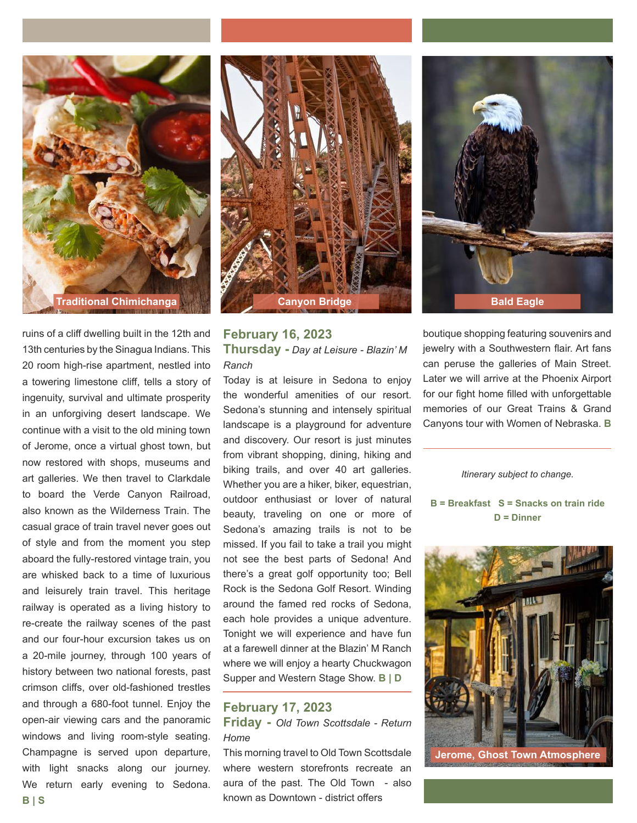

ruins of a cliff dwelling built in the 12th and 13th centuries by the Sinagua Indians. This 20 room high-rise apartment, nestled into a towering limestone cliff, tells a story of ingenuity, survival and ultimate prosperity in an unforgiving desert landscape. We continue with a visit to the old mining town of Jerome, once a virtual ghost town, but now restored with shops, museums and art galleries. We then travel to Clarkdale to board the Verde Canyon Railroad, also known as the Wilderness Train. The casual grace of train travel never goes out of style and from the moment you step aboard the fully-restored vintage train, you are whisked back to a time of luxurious and leisurely train travel. This heritage railway is operated as a living history to re-create the railway scenes of the past and our four-hour excursion takes us on a 20-mile journey, through 100 years of history between two national forests, past crimson cliffs, over old-fashioned trestles and through a 680-foot tunnel. Enjoy the open-air viewing cars and the panoramic windows and living room-style seating. Champagne is served upon departure, with light snacks along our journey. We return early evening to Sedona. **B | S**



# **February 16, 2023 Thursday -** *Day at Leisure - Blazin' M Ranch*

Today is at leisure in Sedona to enjoy the wonderful amenities of our resort. Sedona's stunning and intensely spiritual landscape is a playground for adventure and discovery. Our resort is just minutes from vibrant shopping, dining, hiking and biking trails, and over 40 art galleries. Whether you are a hiker, biker, equestrian, outdoor enthusiast or lover of natural beauty, traveling on one or more of Sedona's amazing trails is not to be missed. If you fail to take a trail you might not see the best parts of Sedona! And there's a great golf opportunity too; Bell Rock is the Sedona Golf Resort. Winding around the famed red rocks of Sedona, each hole provides a unique adventure. Tonight we will experience and have fun at a farewell dinner at the Blazin' M Ranch where we will enjoy a hearty Chuckwagon Supper and Western Stage Show. **B | D**

# **February 17, 2023**

**Friday -** *Old Town Scottsdale - Return Home*

This morning travel to Old Town Scottsdale where western storefronts recreate an aura of the past. The Old Town - also known as Downtown - district offers

boutique shopping featuring souvenirs and jewelry with a Southwestern flair. Art fans can peruse the galleries of Main Street. Later we will arrive at the Phoenix Airport for our fight home filled with unforgettable memories of our Great Trains & Grand Canyons tour with Women of Nebraska. **B**

#### *Itinerary subject to change.*

**B = Breakfast S = Snacks on train ride D = Dinner**



**Jerome, Ghost Town Atmosphere**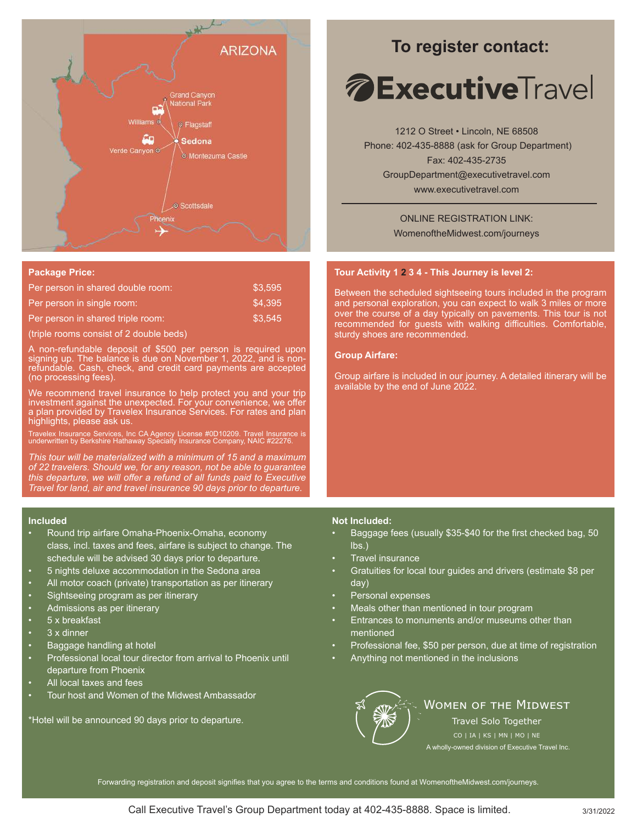

#### **Package Price:**

| Per person in shared double room: | \$3.595 |
|-----------------------------------|---------|
| Per person in single room:        | \$4.395 |
| Per person in shared triple room: | \$3.545 |

(triple rooms consist of 2 double beds)

A non-refundable deposit of \$500 per person is required upon signing up. The balance is due on November 1, 2022, and is nonrefundable. Cash, check, and credit card payments are accepted (no processing fees).

We recommend travel insurance to help protect you and your trip investment against the unexpected. For your convenience, we offer a plan provided by Travelex Insurance Services. For rates and plan highlights, please ask us.

Travelex Insurance Services, Inc CA Agency License #0D10209. Travel Insurance is underwritten by Berkshire Hathaway Specialty Insurance Company, NAIC #22276.

*This tour will be materialized with a minimum of 15 and a maximum of 22 travelers. Should we, for any reason, not be able to guarantee this departure, we will offer a refund of all funds paid to Executive Travel for land, air and travel insurance 90 days prior to departure.*

#### **Included**

- Round trip airfare Omaha-Phoenix-Omaha, economy class, incl. taxes and fees, airfare is subject to change. The schedule will be advised 30 days prior to departure.
- 5 nights deluxe accommodation in the Sedona area
- All motor coach (private) transportation as per itinerary
- Sightseeing program as per itinerary
- Admissions as per itinerary
- 5 x breakfast
- 3 x dinner
- Baggage handling at hotel
- Professional local tour director from arrival to Phoenix until departure from Phoenix
- All local taxes and fees
- Tour host and Women of the Midwest Ambassador

\*Hotel will be announced 90 days prior to departure.

# **To register contact:**

# *A* **Executive**Travel

1212 O Street • Lincoln, NE 68508 Phone: 402-435-8888 (ask for Group Department) Fax: 402-435-2735 GroupDepartment@executivetravel.com www.executivetravel.com

> ONLINE REGISTRATION LINK: WomenoftheMidwest.com/journeys

#### **Tour Activity 1 2 3 4 - This Journey is level 2:**

Between the scheduled sightseeing tours included in the program and personal exploration, you can expect to walk 3 miles or more over the course of a day typically on pavements. This tour is not recommended for guests with walking difficulties. Comfortable, sturdy shoes are recommended.

#### **Group Airfare:**

Group airfare is included in our journey. A detailed itinerary will be available by the end of June 2022.

#### **Not Included:**

- Baggage fees (usually \$35-\$40 for the first checked bag, 50 lbs.)
- Travel insurance
- Gratuities for local tour guides and drivers (estimate \$8 per day)
- Personal expenses
- Meals other than mentioned in tour program
- Entrances to monuments and/or museums other than mentioned
- Professional fee, \$50 per person, due at time of registration
- Anything not mentioned in the inclusions



## **WOMEN OF THE MIDWEST**

Travel Solo Together

A wholly-owned division of Executive Travel Inc.

Forwarding registration and deposit signifies that you agree to the terms and conditions found at WomenoftheMidwest.com/journeys.